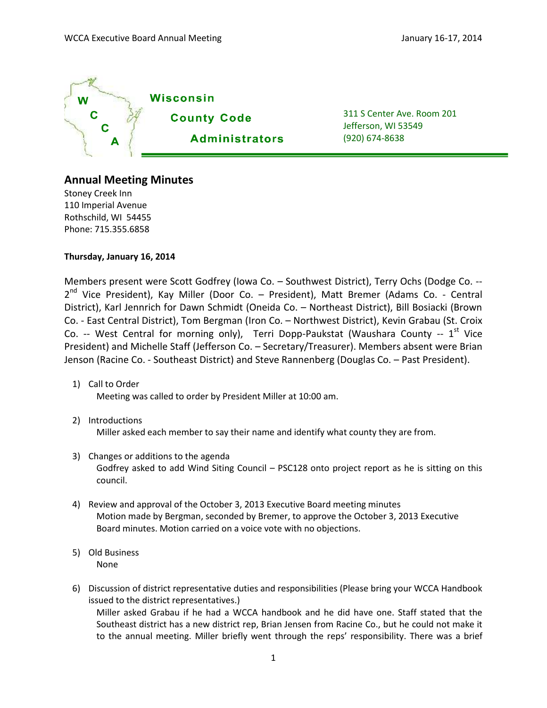

311 S Center Ave. Room 201 Jefferson, WI 53549 (920) 674-8638

## **Annual Meeting Minutes**

Stoney Creek Inn 110 Imperial Avenue Rothschild, WI 54455 Phone: 715.355.6858

**Thursday, January 16, 2014**

Members present were Scott Godfrey (Iowa Co. – Southwest District), Terry Ochs (Dodge Co. -- 2<sup>nd</sup> Vice President), Kay Miller (Door Co. – President), Matt Bremer (Adams Co. - Central District), Karl Jennrich for Dawn Schmidt (Oneida Co. – Northeast District), Bill Bosiacki (Brown Co. - East Central District), Tom Bergman (Iron Co. – Northwest District), Kevin Grabau (St. Croix Co. -- West Central for morning only), Terri Dopp-Paukstat (Waushara County --  $1<sup>st</sup>$  Vice President) and Michelle Staff (Jefferson Co. – Secretary/Treasurer). Members absent were Brian Jenson (Racine Co. - Southeast District) and Steve Rannenberg (Douglas Co. – Past President).

- 1) Call to Order Meeting was called to order by President Miller at 10:00 am.
- 2) Introductions

Miller asked each member to say their name and identify what county they are from.

- 3) Changes or additions to the agenda Godfrey asked to add Wind Siting Council – PSC128 onto project report as he is sitting on this council.
- 4) Review and approval of the October 3, 2013 Executive Board meeting minutes Motion made by Bergman, seconded by Bremer, to approve the October 3, 2013 Executive Board minutes. Motion carried on a voice vote with no objections.
- 5) Old Business None
- 6) Discussion of district representative duties and responsibilities (Please bring your WCCA Handbook issued to the district representatives.) Miller asked Grabau if he had a WCCA handbook and he did have one. Staff stated that the Southeast district has a new district rep, Brian Jensen from Racine Co., but he could not make it to the annual meeting. Miller briefly went through the reps' responsibility. There was a brief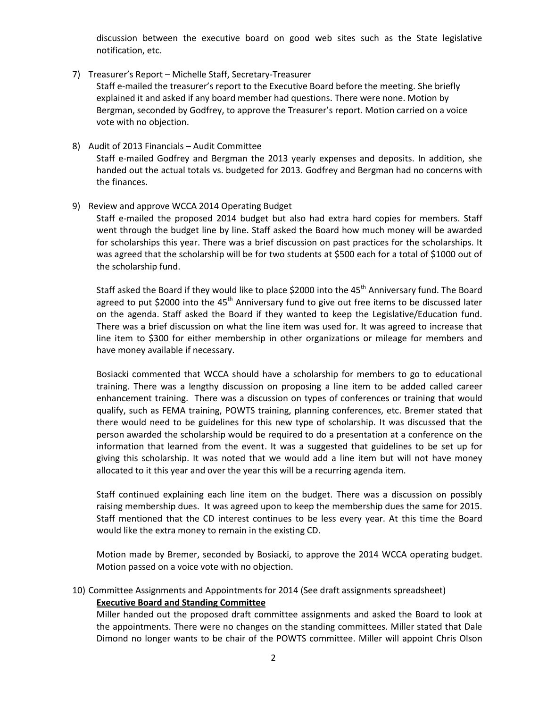discussion between the executive board on good web sites such as the State legislative notification, etc.

- 7) Treasurer's Report Michelle Staff, Secretary-Treasurer Staff e-mailed the treasurer's report to the Executive Board before the meeting. She briefly explained it and asked if any board member had questions. There were none. Motion by Bergman, seconded by Godfrey, to approve the Treasurer's report. Motion carried on a voice vote with no objection.
- 8) Audit of 2013 Financials Audit Committee Staff e-mailed Godfrey and Bergman the 2013 yearly expenses and deposits. In addition, she handed out the actual totals vs. budgeted for 2013. Godfrey and Bergman had no concerns with the finances.
- 9) Review and approve WCCA 2014 Operating Budget

Staff e-mailed the proposed 2014 budget but also had extra hard copies for members. Staff went through the budget line by line. Staff asked the Board how much money will be awarded for scholarships this year. There was a brief discussion on past practices for the scholarships. It was agreed that the scholarship will be for two students at \$500 each for a total of \$1000 out of the scholarship fund.

Staff asked the Board if they would like to place \$2000 into the 45<sup>th</sup> Anniversary fund. The Board agreed to put \$2000 into the 45<sup>th</sup> Anniversary fund to give out free items to be discussed later on the agenda. Staff asked the Board if they wanted to keep the Legislative/Education fund. There was a brief discussion on what the line item was used for. It was agreed to increase that line item to \$300 for either membership in other organizations or mileage for members and have money available if necessary.

Bosiacki commented that WCCA should have a scholarship for members to go to educational training. There was a lengthy discussion on proposing a line item to be added called career enhancement training. There was a discussion on types of conferences or training that would qualify, such as FEMA training, POWTS training, planning conferences, etc. Bremer stated that there would need to be guidelines for this new type of scholarship. It was discussed that the person awarded the scholarship would be required to do a presentation at a conference on the information that learned from the event. It was a suggested that guidelines to be set up for giving this scholarship. It was noted that we would add a line item but will not have money allocated to it this year and over the year this will be a recurring agenda item.

Staff continued explaining each line item on the budget. There was a discussion on possibly raising membership dues. It was agreed upon to keep the membership dues the same for 2015. Staff mentioned that the CD interest continues to be less every year. At this time the Board would like the extra money to remain in the existing CD.

Motion made by Bremer, seconded by Bosiacki, to approve the 2014 WCCA operating budget. Motion passed on a voice vote with no objection.

10) Committee Assignments and Appointments for 2014 (See draft assignments spreadsheet)

#### **Executive Board and Standing Committee**

Miller handed out the proposed draft committee assignments and asked the Board to look at the appointments. There were no changes on the standing committees. Miller stated that Dale Dimond no longer wants to be chair of the POWTS committee. Miller will appoint Chris Olson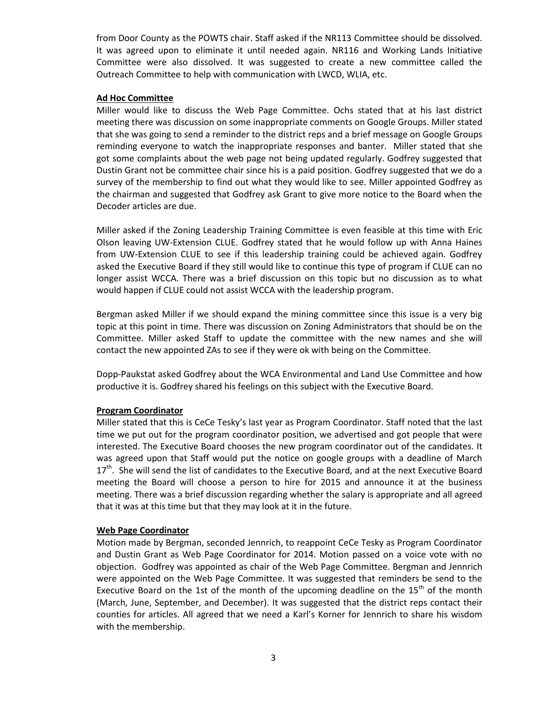from Door County as the POWTS chair. Staff asked if the NR113 Committee should be dissolved. It was agreed upon to eliminate it until needed again. NR116 and Working Lands Initiative Committee were also dissolved. It was suggested to create a new committee called the Outreach Committee to help with communication with LWCD, WLIA, etc.

### **Ad Hoc Committee**

Miller would like to discuss the Web Page Committee. Ochs stated that at his last district meeting there was discussion on some inappropriate comments on Google Groups. Miller stated that she was going to send a reminder to the district reps and a brief message on Google Groups reminding everyone to watch the inappropriate responses and banter. Miller stated that she got some complaints about the web page not being updated regularly. Godfrey suggested that Dustin Grant not be committee chair since his is a paid position. Godfrey suggested that we do a survey of the membership to find out what they would like to see. Miller appointed Godfrey as the chairman and suggested that Godfrey ask Grant to give more notice to the Board when the Decoder articles are due.

Miller asked if the Zoning Leadership Training Committee is even feasible at this time with Eric Olson leaving UW-Extension CLUE. Godfrey stated that he would follow up with Anna Haines from UW-Extension CLUE to see if this leadership training could be achieved again. Godfrey asked the Executive Board if they still would like to continue this type of program if CLUE can no longer assist WCCA. There was a brief discussion on this topic but no discussion as to what would happen if CLUE could not assist WCCA with the leadership program.

Bergman asked Miller if we should expand the mining committee since this issue is a very big topic at this point in time. There was discussion on Zoning Administrators that should be on the Committee. Miller asked Staff to update the committee with the new names and she will contact the new appointed ZAs to see if they were ok with being on the Committee.

Dopp-Paukstat asked Godfrey about the WCA Environmental and Land Use Committee and how productive it is. Godfrey shared his feelings on this subject with the Executive Board.

## **Program Coordinator**

Miller stated that this is CeCe Tesky's last year as Program Coordinator. Staff noted that the last time we put out for the program coordinator position, we advertised and got people that were interested. The Executive Board chooses the new program coordinator out of the candidates. It was agreed upon that Staff would put the notice on google groups with a deadline of March 17<sup>th</sup>. She will send the list of candidates to the Executive Board, and at the next Executive Board meeting the Board will choose a person to hire for 2015 and announce it at the business meeting. There was a brief discussion regarding whether the salary is appropriate and all agreed that it was at this time but that they may look at it in the future.

## **Web Page Coordinator**

Motion made by Bergman, seconded Jennrich, to reappoint CeCe Tesky as Program Coordinator and Dustin Grant as Web Page Coordinator for 2014. Motion passed on a voice vote with no objection. Godfrey was appointed as chair of the Web Page Committee. Bergman and Jennrich were appointed on the Web Page Committee. It was suggested that reminders be send to the Executive Board on the 1st of the month of the upcoming deadline on the  $15<sup>th</sup>$  of the month (March, June, September, and December). It was suggested that the district reps contact their counties for articles. All agreed that we need a Karl's Korner for Jennrich to share his wisdom with the membership.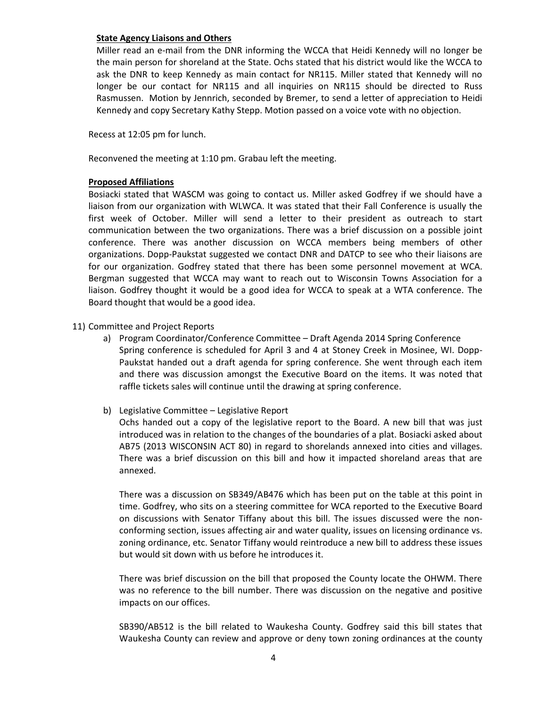#### **State Agency Liaisons and Others**

Miller read an e-mail from the DNR informing the WCCA that Heidi Kennedy will no longer be the main person for shoreland at the State. Ochs stated that his district would like the WCCA to ask the DNR to keep Kennedy as main contact for NR115. Miller stated that Kennedy will no longer be our contact for NR115 and all inquiries on NR115 should be directed to Russ Rasmussen. Motion by Jennrich, seconded by Bremer, to send a letter of appreciation to Heidi Kennedy and copy Secretary Kathy Stepp. Motion passed on a voice vote with no objection.

Recess at 12:05 pm for lunch.

Reconvened the meeting at 1:10 pm. Grabau left the meeting.

## **Proposed Affiliations**

Bosiacki stated that WASCM was going to contact us. Miller asked Godfrey if we should have a liaison from our organization with WLWCA. It was stated that their Fall Conference is usually the first week of October. Miller will send a letter to their president as outreach to start communication between the two organizations. There was a brief discussion on a possible joint conference. There was another discussion on WCCA members being members of other organizations. Dopp-Paukstat suggested we contact DNR and DATCP to see who their liaisons are for our organization. Godfrey stated that there has been some personnel movement at WCA. Bergman suggested that WCCA may want to reach out to Wisconsin Towns Association for a liaison. Godfrey thought it would be a good idea for WCCA to speak at a WTA conference. The Board thought that would be a good idea.

- 11) Committee and Project Reports
	- a) Program Coordinator/Conference Committee Draft Agenda 2014 Spring Conference Spring conference is scheduled for April 3 and 4 at Stoney Creek in Mosinee, WI. Dopp-Paukstat handed out a draft agenda for spring conference. She went through each item and there was discussion amongst the Executive Board on the items. It was noted that raffle tickets sales will continue until the drawing at spring conference.
	- b) Legislative Committee Legislative Report

Ochs handed out a copy of the legislative report to the Board. A new bill that was just introduced was in relation to the changes of the boundaries of a plat. Bosiacki asked about AB75 (2013 WISCONSIN ACT 80) in regard to shorelands annexed into cities and villages. There was a brief discussion on this bill and how it impacted shoreland areas that are annexed.

There was a discussion on SB349/AB476 which has been put on the table at this point in time. Godfrey, who sits on a steering committee for WCA reported to the Executive Board on discussions with Senator Tiffany about this bill. The issues discussed were the nonconforming section, issues affecting air and water quality, issues on licensing ordinance vs. zoning ordinance, etc. Senator Tiffany would reintroduce a new bill to address these issues but would sit down with us before he introduces it.

There was brief discussion on the bill that proposed the County locate the OHWM. There was no reference to the bill number. There was discussion on the negative and positive impacts on our offices.

SB390/AB512 is the bill related to Waukesha County. Godfrey said this bill states that Waukesha County can review and approve or deny town zoning ordinances at the county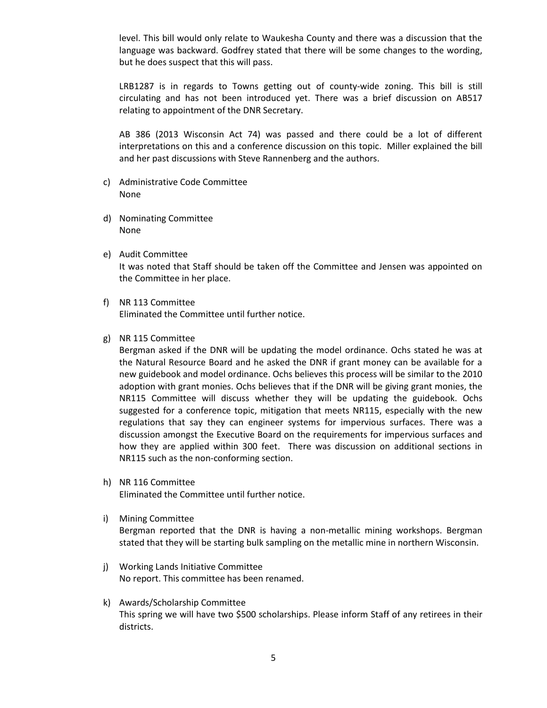level. This bill would only relate to Waukesha County and there was a discussion that the language was backward. Godfrey stated that there will be some changes to the wording, but he does suspect that this will pass.

LRB1287 is in regards to Towns getting out of county-wide zoning. This bill is still circulating and has not been introduced yet. There was a brief discussion on AB517 relating to appointment of the DNR Secretary.

AB 386 (2013 Wisconsin Act 74) was passed and there could be a lot of different interpretations on this and a conference discussion on this topic. Miller explained the bill and her past discussions with Steve Rannenberg and the authors.

- c) Administrative Code Committee None
- d) Nominating Committee None
- e) Audit Committee It was noted that Staff should be taken off the Committee and Jensen was appointed on the Committee in her place.
- f) NR 113 Committee Eliminated the Committee until further notice.
- g) NR 115 Committee

Bergman asked if the DNR will be updating the model ordinance. Ochs stated he was at the Natural Resource Board and he asked the DNR if grant money can be available for a new guidebook and model ordinance. Ochs believes this process will be similar to the 2010 adoption with grant monies. Ochs believes that if the DNR will be giving grant monies, the NR115 Committee will discuss whether they will be updating the guidebook. Ochs suggested for a conference topic, mitigation that meets NR115, especially with the new regulations that say they can engineer systems for impervious surfaces. There was a discussion amongst the Executive Board on the requirements for impervious surfaces and how they are applied within 300 feet. There was discussion on additional sections in NR115 such as the non-conforming section.

- h) NR 116 Committee Eliminated the Committee until further notice.
- i) Mining Committee

Bergman reported that the DNR is having a non-metallic mining workshops. Bergman stated that they will be starting bulk sampling on the metallic mine in northern Wisconsin.

- j) Working Lands Initiative Committee No report. This committee has been renamed.
- k) Awards/Scholarship Committee This spring we will have two \$500 scholarships. Please inform Staff of any retirees in their districts.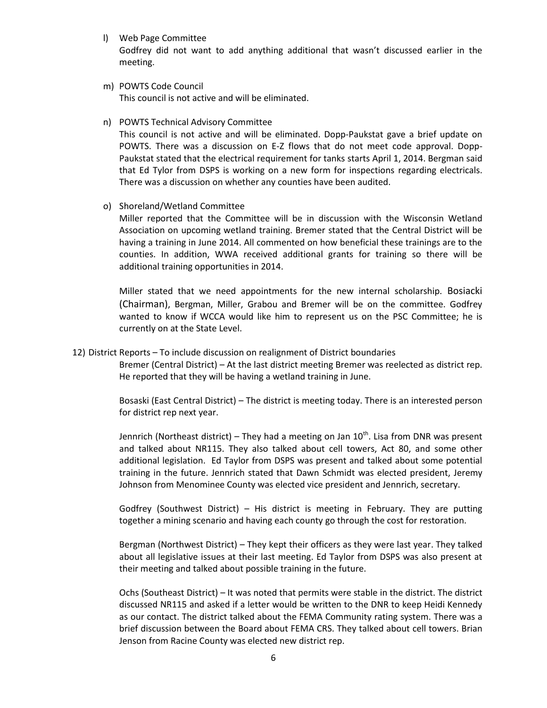l) Web Page Committee

Godfrey did not want to add anything additional that wasn't discussed earlier in the meeting.

- m) POWTS Code Council This council is not active and will be eliminated.
- n) POWTS Technical Advisory Committee

This council is not active and will be eliminated. Dopp-Paukstat gave a brief update on POWTS. There was a discussion on E-Z flows that do not meet code approval. Dopp-Paukstat stated that the electrical requirement for tanks starts April 1, 2014. Bergman said that Ed Tylor from DSPS is working on a new form for inspections regarding electricals. There was a discussion on whether any counties have been audited.

o) Shoreland/Wetland Committee

Miller reported that the Committee will be in discussion with the Wisconsin Wetland Association on upcoming wetland training. Bremer stated that the Central District will be having a training in June 2014. All commented on how beneficial these trainings are to the counties. In addition, WWA received additional grants for training so there will be additional training opportunities in 2014.

Miller stated that we need appointments for the new internal scholarship. Bosiacki (Chairman), Bergman, Miller, Grabou and Bremer will be on the committee. Godfrey wanted to know if WCCA would like him to represent us on the PSC Committee; he is currently on at the State Level.

12) District Reports – To include discussion on realignment of District boundaries

Bremer (Central District) – At the last district meeting Bremer was reelected as district rep. He reported that they will be having a wetland training in June.

Bosaski (East Central District) – The district is meeting today. There is an interested person for district rep next year.

Jennrich (Northeast district) – They had a meeting on Jan  $10^{th}$ . Lisa from DNR was present and talked about NR115. They also talked about cell towers, Act 80, and some other additional legislation. Ed Taylor from DSPS was present and talked about some potential training in the future. Jennrich stated that Dawn Schmidt was elected president, Jeremy Johnson from Menominee County was elected vice president and Jennrich, secretary.

Godfrey (Southwest District) – His district is meeting in February. They are putting together a mining scenario and having each county go through the cost for restoration.

Bergman (Northwest District) – They kept their officers as they were last year. They talked about all legislative issues at their last meeting. Ed Taylor from DSPS was also present at their meeting and talked about possible training in the future.

Ochs (Southeast District) – It was noted that permits were stable in the district. The district discussed NR115 and asked if a letter would be written to the DNR to keep Heidi Kennedy as our contact. The district talked about the FEMA Community rating system. There was a brief discussion between the Board about FEMA CRS. They talked about cell towers. Brian Jenson from Racine County was elected new district rep.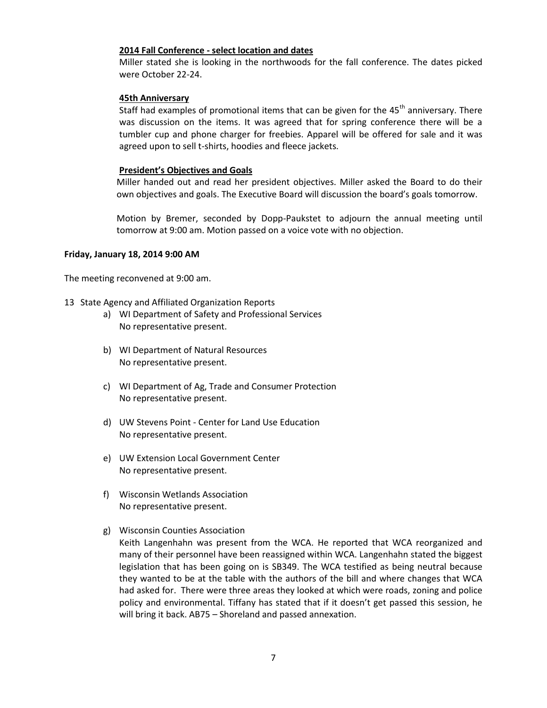#### **2014 Fall Conference - select location and dates**

Miller stated she is looking in the northwoods for the fall conference. The dates picked were October 22-24.

#### **45th Anniversary**

Staff had examples of promotional items that can be given for the  $45<sup>th</sup>$  anniversary. There was discussion on the items. It was agreed that for spring conference there will be a tumbler cup and phone charger for freebies. Apparel will be offered for sale and it was agreed upon to sell t-shirts, hoodies and fleece jackets.

#### **President's Objectives and Goals**

Miller handed out and read her president objectives. Miller asked the Board to do their own objectives and goals. The Executive Board will discussion the board's goals tomorrow.

Motion by Bremer, seconded by Dopp-Paukstet to adjourn the annual meeting until tomorrow at 9:00 am. Motion passed on a voice vote with no objection.

#### **Friday, January 18, 2014 9:00 AM**

The meeting reconvened at 9:00 am.

- 13 State Agency and Affiliated Organization Reports
	- a) WI Department of Safety and Professional Services No representative present.
	- b) WI Department of Natural Resources No representative present.
	- c) WI Department of Ag, Trade and Consumer Protection No representative present.
	- d) UW Stevens Point Center for Land Use Education No representative present.
	- e) UW Extension Local Government Center No representative present.
	- f) Wisconsin Wetlands Association No representative present.
	- g) Wisconsin Counties Association
		- Keith Langenhahn was present from the WCA. He reported that WCA reorganized and many of their personnel have been reassigned within WCA. Langenhahn stated the biggest legislation that has been going on is SB349. The WCA testified as being neutral because they wanted to be at the table with the authors of the bill and where changes that WCA had asked for. There were three areas they looked at which were roads, zoning and police policy and environmental. Tiffany has stated that if it doesn't get passed this session, he will bring it back. AB75 – Shoreland and passed annexation.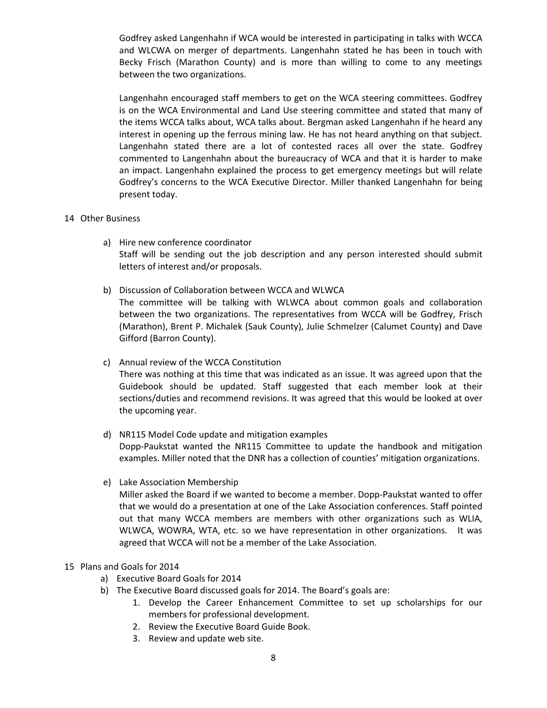Godfrey asked Langenhahn if WCA would be interested in participating in talks with WCCA and WLCWA on merger of departments. Langenhahn stated he has been in touch with Becky Frisch (Marathon County) and is more than willing to come to any meetings between the two organizations.

Langenhahn encouraged staff members to get on the WCA steering committees. Godfrey is on the WCA Environmental and Land Use steering committee and stated that many of the items WCCA talks about, WCA talks about. Bergman asked Langenhahn if he heard any interest in opening up the ferrous mining law. He has not heard anything on that subject. Langenhahn stated there are a lot of contested races all over the state. Godfrey commented to Langenhahn about the bureaucracy of WCA and that it is harder to make an impact. Langenhahn explained the process to get emergency meetings but will relate Godfrey's concerns to the WCA Executive Director. Miller thanked Langenhahn for being present today.

#### 14 Other Business

- a) Hire new conference coordinator Staff will be sending out the job description and any person interested should submit letters of interest and/or proposals.
- b) Discussion of Collaboration between WCCA and WLWCA The committee will be talking with WLWCA about common goals and collaboration between the two organizations. The representatives from WCCA will be Godfrey, Frisch (Marathon), Brent P. Michalek (Sauk County), Julie Schmelzer (Calumet County) and Dave Gifford (Barron County).

# c) Annual review of the WCCA Constitution

There was nothing at this time that was indicated as an issue. It was agreed upon that the Guidebook should be updated. Staff suggested that each member look at their sections/duties and recommend revisions. It was agreed that this would be looked at over the upcoming year.

## d) NR115 Model Code update and mitigation examples Dopp-Paukstat wanted the NR115 Committee to update the handbook and mitigation examples. Miller noted that the DNR has a collection of counties' mitigation organizations.

e) Lake Association Membership

Miller asked the Board if we wanted to become a member. Dopp-Paukstat wanted to offer that we would do a presentation at one of the Lake Association conferences. Staff pointed out that many WCCA members are members with other organizations such as WLIA, WLWCA, WOWRA, WTA, etc. so we have representation in other organizations. It was agreed that WCCA will not be a member of the Lake Association.

## 15 Plans and Goals for 2014

- a) Executive Board Goals for 2014
- b) The Executive Board discussed goals for 2014. The Board's goals are:
	- 1. Develop the Career Enhancement Committee to set up scholarships for our members for professional development.
	- 2. Review the Executive Board Guide Book.
	- 3. Review and update web site.